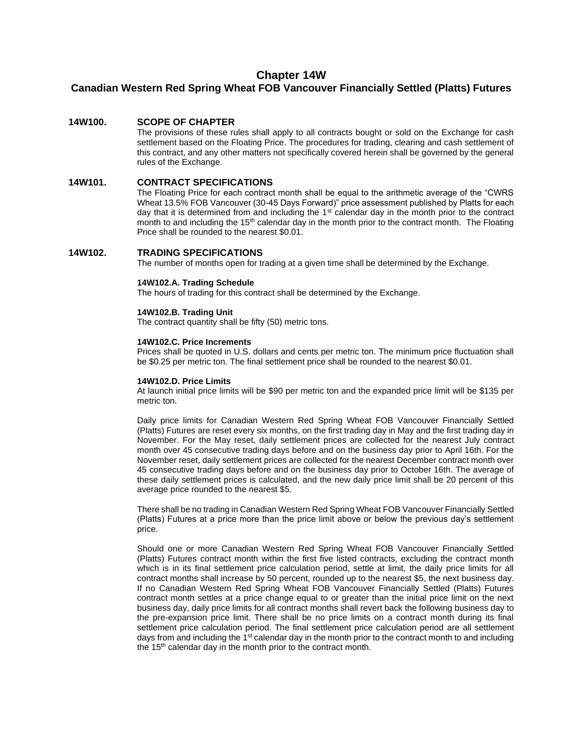## **Chapter 14W**

# **Canadian Western Red Spring Wheat FOB Vancouver Financially Settled (Platts) Futures**

## **14W100. SCOPE OF CHAPTER**

The provisions of these rules shall apply to all contracts bought or sold on the Exchange for cash settlement based on the Floating Price. The procedures for trading, clearing and cash settlement of this contract, and any other matters not specifically covered herein shall be governed by the general rules of the Exchange.

## **14W101. CONTRACT SPECIFICATIONS**

The Floating Price for each contract month shall be equal to the arithmetic average of the "CWRS Wheat 13.5% FOB Vancouver (30-45 Days Forward)" price assessment published by Platts for each day that it is determined from and including the  $1<sup>st</sup>$  calendar day in the month prior to the contract month to and including the 15<sup>th</sup> calendar day in the month prior to the contract month. The Floating Price shall be rounded to the nearest \$0.01.

## **14W102. TRADING SPECIFICATIONS**

The number of months open for trading at a given time shall be determined by the Exchange.

#### **14W102.A. Trading Schedule**

The hours of trading for this contract shall be determined by the Exchange.

#### **14W102.B. Trading Unit**

The contract quantity shall be fifty (50) metric tons.

#### **14W102.C. Price Increments**

Prices shall be quoted in U.S. dollars and cents per metric ton. The minimum price fluctuation shall be \$0.25 per metric ton. The final settlement price shall be rounded to the nearest \$0.01.

#### **14W102.D. Price Limits**

At launch initial price limits will be \$90 per metric ton and the expanded price limit will be \$135 per metric ton.

Daily price limits for Canadian Western Red Spring Wheat FOB Vancouver Financially Settled (Platts) Futures are reset every six months, on the first trading day in May and the first trading day in November. For the May reset, daily settlement prices are collected for the nearest July contract month over 45 consecutive trading days before and on the business day prior to April 16th. For the November reset, daily settlement prices are collected for the nearest December contract month over 45 consecutive trading days before and on the business day prior to October 16th. The average of these daily settlement prices is calculated, and the new daily price limit shall be 20 percent of this average price rounded to the nearest \$5.

There shall be no trading in Canadian Western Red Spring Wheat FOB Vancouver Financially Settled (Platts) Futures at a price more than the price limit above or below the previous day's settlement price.

Should one or more Canadian Western Red Spring Wheat FOB Vancouver Financially Settled (Platts) Futures contract month within the first five listed contracts, excluding the contract month which is in its final settlement price calculation period, settle at limit, the daily price limits for all contract months shall increase by 50 percent, rounded up to the nearest \$5, the next business day. If no Canadian Western Red Spring Wheat FOB Vancouver Financially Settled (Platts) Futures contract month settles at a price change equal to or greater than the initial price limit on the next business day, daily price limits for all contract months shall revert back the following business day to the pre-expansion price limit. There shall be no price limits on a contract month during its final settlement price calculation period. The final settlement price calculation period are all settlement days from and including the 1<sup>st</sup> calendar day in the month prior to the contract month to and including the 15<sup>th</sup> calendar day in the month prior to the contract month.